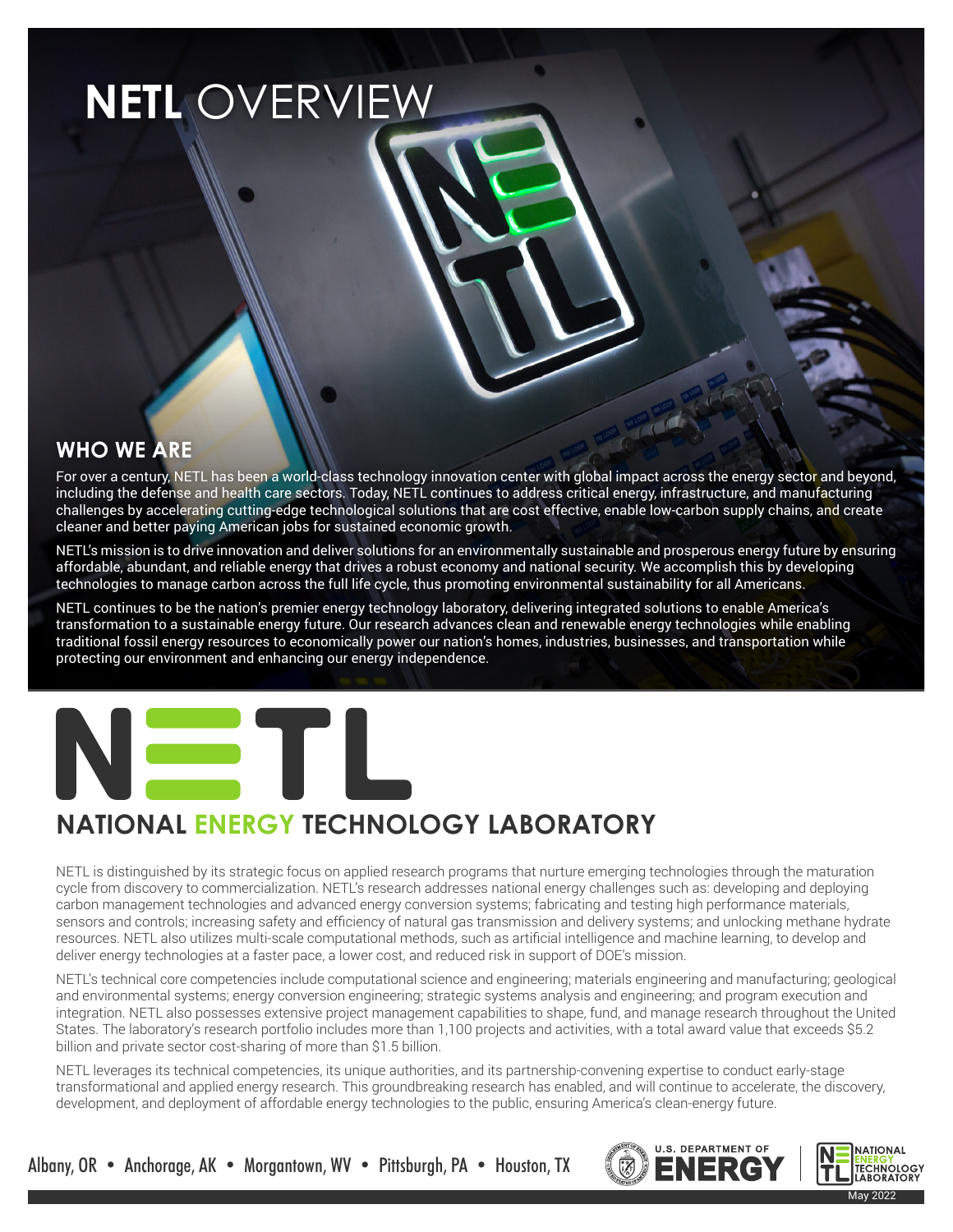# **NETL** OVERVIEW

#### **WHO WE ARE**

For over a century, NETL has been a world-class technology innovation center with global impact across the energy sector and beyond, including the defense and health care sectors. Today, NETL continues to address critical energy, infrastructure, and manufacturing challenges by accelerating cutting-edge technological solutions that are cost effective, enable low-carbon supply chains, and create cleaner and better paying American jobs for sustained economic growth.

NETL's mission is to drive innovation and deliver solutions for an environmentally sustainable and prosperous energy future by ensuring affordable, abundant, and reliable energy that drives a robust economy and national security. We accomplish this by developing technologies to manage carbon across the full life cycle, thus promoting environmental sustainability for all Americans.

NETL continues to be the nation's premier energy technology laboratory, delivering integrated solutions to enable America's transformation to a sustainable energy future. Our research advances clean and renewable energy technologies while enabling traditional fossil energy resources to economically power our nation's homes, industries, businesses, and transportation while protecting our environment and enhancing our energy independence.



## **NATIONAL ENERGY TECHNOLOGY LABORATORY**

NETL is distinguished by its strategic focus on applied research programs that nurture emerging technologies through the maturation cycle from discovery to commercialization. NETL's research addresses national energy challenges such as: developing and deploying carbon management technologies and advanced energy conversion systems; fabricating and testing high performance materials, sensors and controls; increasing safety and efficiency of natural gas transmission and delivery systems; and unlocking methane hydrate resources. NETL also utilizes multi-scale computational methods, such as artificial intelligence and machine learning, to develop and deliver energy technologies at a faster pace, a lower cost, and reduced risk in support of DOE's mission.

NETL's technical core competencies include computational science and engineering; materials engineering and manufacturing; geological and environmental systems; energy conversion engineering; strategic systems analysis and engineering; and program execution and integration. NETL also possesses extensive project management capabilities to shape, fund, and manage research throughout the United States. The laboratory's research portfolio includes more than 1,100 projects and activities, with a total award value that exceeds \$5.2 billion and private sector cost-sharing of more than \$1.5 billion.

NETL leverages its technical competencies, its unique authorities, and its partnership-convening expertise to conduct early-stage transformational and applied energy research. This groundbreaking research has enabled, and will continue to accelerate, the discovery, development, and deployment of affordable energy technologies to the public, ensuring America's clean-energy future.





Albany, OR • Anchorage, AK • Morgantown, WV • Pittsburgh, PA • Houston, TX